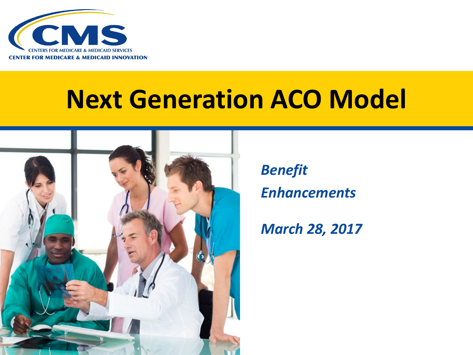

#### **Next Generation ACO Model**



*Benefit Enhancements* 

#### *March 28, 2017*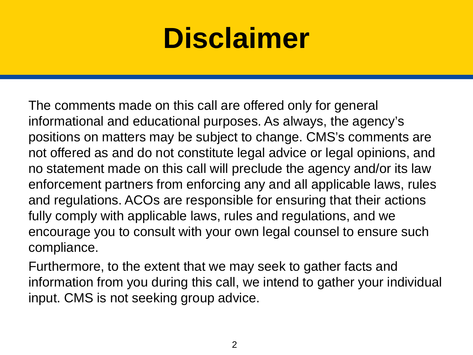### **Disclaimer**

 The comments made on this call are offered only for general informational and educational purposes. As always, the agency's positions on matters may be subject to change. CMS's comments are not offered as and do not constitute legal advice or legal opinions, and no statement made on this call will preclude the agency and/or its law enforcement partners from enforcing any and all applicable laws, rules and regulations. ACOs are responsible for ensuring that their actions fully comply with applicable laws, rules and regulations, and we encourage you to consult with your own legal counsel to ensure such compliance.

 Furthermore, to the extent that we may seek to gather facts and information from you during this call, we intend to gather your individual input. CMS is not seeking group advice.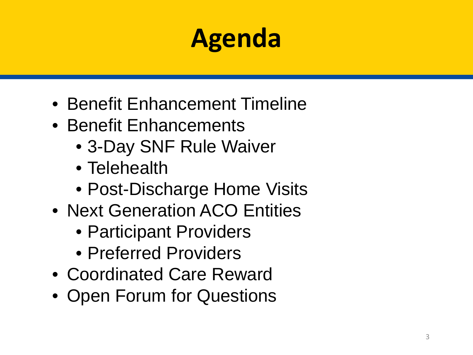#### **Agenda**

- Benefit Enhancement Timeline
- Benefit Enhancements
	- 3-Day SNF Rule Waiver
	- Telehealth
	- Post-Discharge Home Visits
- Next Generation ACO Entities
	- Participant Providers
	- Preferred Providers
- Coordinated Care Reward
- Open Forum for Questions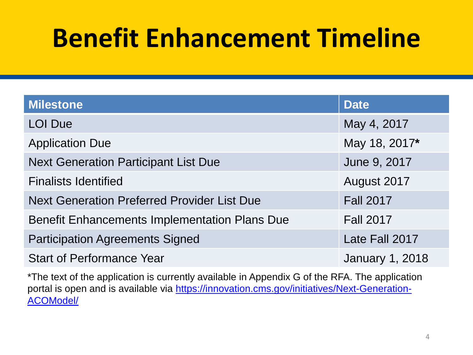#### **Benefit Enhancement Timeline**

| <b>Milestone</b>                                     | <b>Date</b>            |
|------------------------------------------------------|------------------------|
| <b>LOI Due</b>                                       | May 4, 2017            |
| <b>Application Due</b>                               | May 18, 2017*          |
| <b>Next Generation Participant List Due</b>          | June 9, 2017           |
| <b>Finalists Identified</b>                          | August 2017            |
| <b>Next Generation Preferred Provider List Due</b>   | <b>Fall 2017</b>       |
| <b>Benefit Enhancements Implementation Plans Due</b> | <b>Fall 2017</b>       |
| <b>Participation Agreements Signed</b>               | Late Fall 2017         |
| <b>Start of Performance Year</b>                     | <b>January 1, 2018</b> |

\*The text of the application is currently available in Appendix G of the RFA. The application [portal is open and is available via https://innovation.cms.gov/initiatives/Next-Generation-](https://innovation.cms.gov/initiatives/Next-Generation-ACOModel/)ACOModel/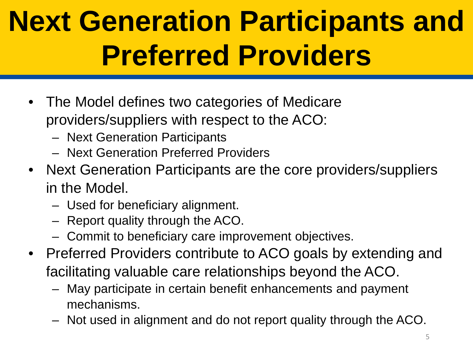## **Next Generation Participants and Preferred Providers**

- The Model defines two categories of Medicare providers/suppliers with respect to the ACO:
	- – Next Generation Participants
	- – Next Generation Preferred Providers
- Next Generation Participants are the core providers/suppliers in the Model.
	- $-$  Used for beneficiary alignment.
	- $-$  Report quality through the ACO.
	- – Commit to beneficiary care improvement objectives.
- Preferred Providers contribute to ACO goals by extending and facilitating valuable care relationships beyond the ACO.
	- – May participate in certain benefit enhancements and payment mechanisms.
	- Not used in alignment and do not report quality through the ACO.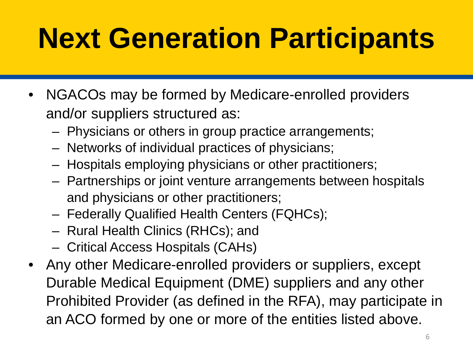## **Next Generation Participants**

- NGACOs may be formed by Medicare-enrolled providers and/or suppliers structured as:
	- $-$  Physicians or others in group practice arrangements;
	- $-$  Networks of individual practices of physicians;
	- $-$  Hospitals employing physicians or other practitioners;
	- $-$  Partnerships or joint venture arrangements between hospitals and physicians or other practitioners;
	- Federally Qualified Health Centers (FQHCs);
	- Rural Health Clinics (RHCs); and
	- – Critical Access Hospitals (CAHs)
- Durable Medical Equipment (DME) suppliers and any other Prohibited Provider (as defined in the RFA), may participate in • Any other Medicare-enrolled providers or suppliers, except an ACO formed by one or more of the entities listed above.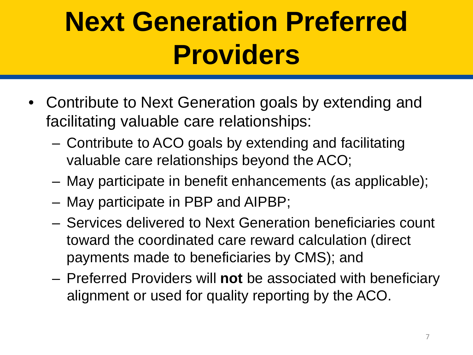### **Next Generation Preferred Providers**

- Contribute to Next Generation goals by extending and facilitating valuable care relationships:
	- – Contribute to ACO goals by extending and facilitating valuable care relationships beyond the ACO;
	- – May participate in benefit enhancements (as applicable);
	- May participate in PBP and AIPBP;
	- – Services delivered to Next Generation beneficiaries count toward the coordinated care reward calculation (direct payments made to beneficiaries by CMS); and
	- – Preferred Providers will **not** be associated with beneficiary alignment or used for quality reporting by the ACO.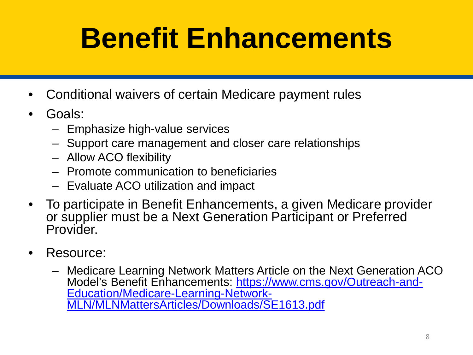## **Benefit Enhancements**

- • Conditional waivers of certain Medicare payment rules
- Goals:
	- – Emphasize high-value services
	- $-$  Support care management and closer care relationships
	- – Allow ACO flexibility
	- – Promote communication to beneficiaries
	- – Evaluate ACO utilization and impact
- or supplier must be a Next Generation Participant or Preferred • To participate in Benefit Enhancements, a given Medicare provider **Provider**
- Resource:
	- – Medicare Learning Network Matters Article on the Next Generation ACO [Model's Benefit Enhancements: https://www.cms.gov/Outreach-and](https://www.cms.gov/Outreach-and-Education/Medicare-Learning-Network-MLN/MLNMattersArticles/Downloads/SE1613.pdf)-<br>Education/Medicare-Learning-Network-<br>MLN/MLNMattersArticles/Downloads/SE1613.pdf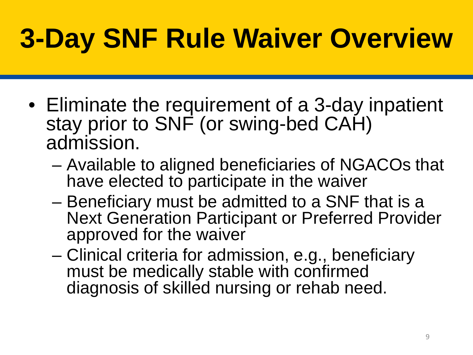## **3-Day SNF Rule Waiver Overview**

- stay prior to SNF (or swing-bed CAH) • Eliminate the requirement of a 3-day inpatient admission.
	- Available to aligned beneficiaries of NGACOs that have elected to participate in the waiver
	- Next Generation Participant or Preferred Provider – Beneficiary must be admitted to a SNF that is a approved for the waiver
	- – Clinical criteria for admission, e.g., beneficiary must be medically stable with confirmed diagnosis of skilled nursing or rehab need.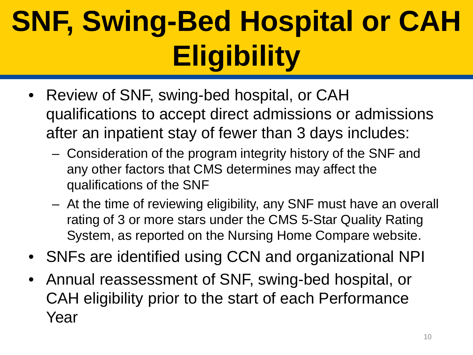# **SNF, Swing-Bed Hospital or CAH Eligibility**

- • Review of SNF, swing-bed hospital, or CAH after an inpatient stay of fewer than 3 days includes: qualifications to accept direct admissions or admissions
	- $-$  Consideration of the program integrity history of the SNF and any other factors that CMS determines may affect the qualifications of the SNF
	- $-$  At the time of reviewing eligibility, any SNF must have an overall rating of 3 or more stars under the CMS 5-Star Quality Rating System, as reported on the Nursing Home Compare website.
- SNFs are identified using CCN and organizational NPI
- CAH eligibility prior to the start of each Performance Annual reassessment of SNF, swing-bed hospital, or Year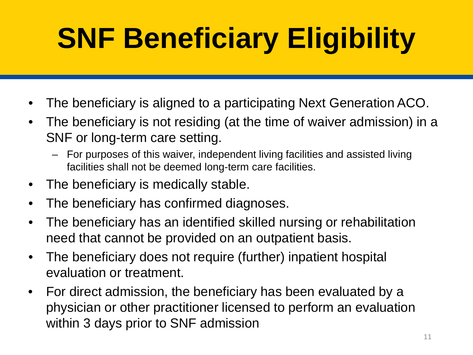# **SNF Beneficiary Eligibility**

- • The beneficiary is aligned to a participating Next Generation ACO.
- The beneficiary is not residing (at the time of waiver admission) in a SNF or long-term care setting.
	- facilities shall not be deemed long-term care facilities. – For purposes of this waiver, independent living facilities and assisted living
- The beneficiary is medically stable.
- • The beneficiary has confirmed diagnoses.
- • The beneficiary has an identified skilled nursing or rehabilitation need that cannot be provided on an outpatient basis.
- • The beneficiary does not require (further) inpatient hospital evaluation or treatment.
- • For direct admission, the beneficiary has been evaluated by a physician or other practitioner licensed to perform an evaluation within 3 days prior to SNF admission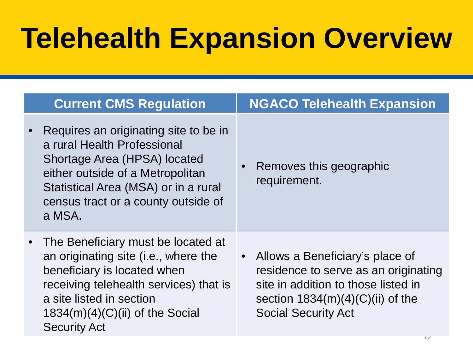## **Telehealth Expansion Overview**

| <b>Current CMS Regulation</b>                                                                                                                                                                                                               | <b>NGACO Telehealth Expansion</b>                                                                                                                                                               |
|---------------------------------------------------------------------------------------------------------------------------------------------------------------------------------------------------------------------------------------------|-------------------------------------------------------------------------------------------------------------------------------------------------------------------------------------------------|
| Requires an originating site to be in<br>a rural Health Professional<br>Shortage Area (HPSA) located<br>either outside of a Metropolitan<br>Statistical Area (MSA) or in a rural<br>census tract or a county outside of<br>a MSA.           | Removes this geographic<br>requirement.                                                                                                                                                         |
| The Beneficiary must be located at<br>an originating site (i.e., where the<br>beneficiary is located when<br>receiving telehealth services) that is<br>a site listed in section<br>$1834(m)(4)(C)(ii)$ of the Social<br><b>Security Act</b> | Allows a Beneficiary's place of<br>$\bullet$<br>residence to serve as an originating<br>site in addition to those listed in<br>section $1834(m)(4)(C)(ii)$ of the<br><b>Social Security Act</b> |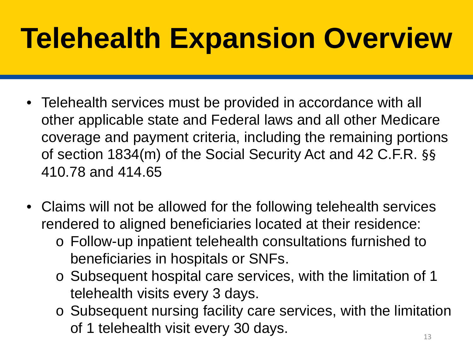## **Telehealth Expansion Overview**

- other applicable state and Federal laws and all other Medicare of section 1834(m) of the Social Security Act and 42 C.F.R. §§ • Telehealth services must be provided in accordance with all coverage and payment criteria, including the remaining portions 410.78 and 414.65
- Claims will not be allowed for the following telehealth services rendered to aligned beneficiaries located at their residence:
	- o Follow-up inpatient telehealth consultations furnished to beneficiaries in hospitals or SNFs.
	- telehealth visits every 3 days. o Subsequent hospital care services, with the limitation of 1
	- o Subsequent nursing facility care services, with the limitation of 1 telehealth visit every 30 days.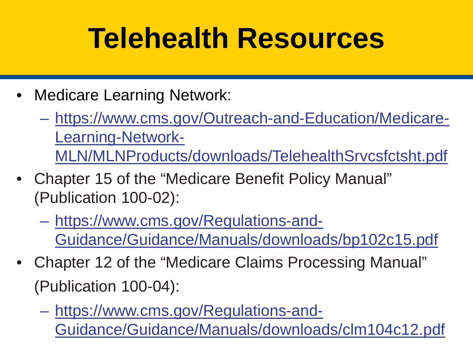### **Telehealth Resources**

- Medicare Learning Network:
	- https://www.cms.gov/Outreach-and-Education/Medicare-Learning-Network-MLN/MLNProducts/downloads/TelehealthSrvcsfctsht.pdf
- • Chapter 15 of the "Medicare Benefit Policy Manual" (Publication 100-02):
	- https://www.cms.gov/Regulations-and-Guidance/Guidance/Manuals/downloads/bp102c15.pdf
- Chapter 12 of the "Medicare Claims Processing Manual" (Publication 100-04):
	- https://www.cms.gov/Regulations-and-Guidance/Guidance/Manuals/downloads/clm104c12.pdf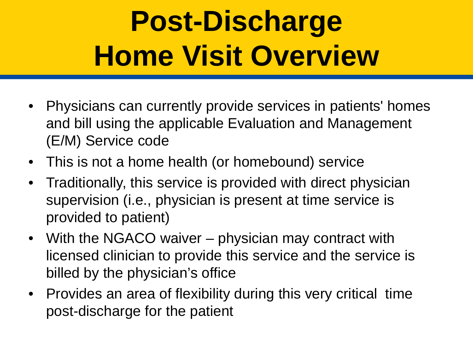## **Post-Discharge Home Visit Overview**

- Physicians can currently provide services in patients' homes and bill using the applicable Evaluation and Management (E/M) Service code
- This is not a home health (or homebound) service
- Traditionally, this service is provided with direct physician supervision (i.e., physician is present at time service is provided to patient)
- With the NGACO waiver physician may contract with licensed clinician to provide this service and the service is billed by the physician's office
- Provides an area of flexibility during this very critical time post-discharge for the patient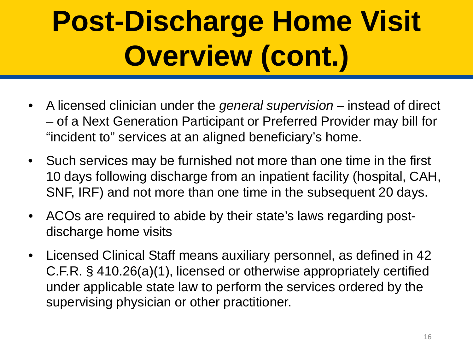# **Post-Discharge Home Visit Overview (cont.)**

- • A licensed clinician under the *general supervision*  instead of direct – of a Next Generation Participant or Preferred Provider may bill for "incident to" services at an aligned beneficiary's home.
- Such services may be furnished not more than one time in the first 10 days following discharge from an inpatient facility (hospital, CAH, SNF, IRF) and not more than one time in the subsequent 20 days.
- • ACOs are required to abide by their state's laws regarding postdischarge home visits
- Licensed Clinical Staff means auxiliary personnel, as defined in 42 C.F.R. § 410.26(a)(1), licensed or otherwise appropriately certified under applicable state law to perform the services ordered by the supervising physician or other practitioner.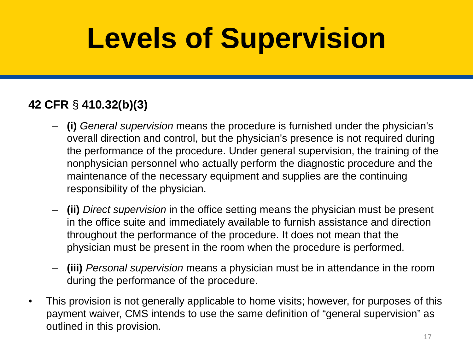## **Levels of Supervision**

#### **42 CFR** § **410.32(b)(3)**

- – **(i)** *General supervision* means the procedure is furnished under the physician's overall direction and control, but the physician's presence is not required during the performance of the procedure. Under general supervision, the training of the nonphysician personnel who actually perform the diagnostic procedure and the maintenance of the necessary equipment and supplies are the continuing responsibility of the physician.
- – **(ii)** *Direct supervision* in the office setting means the physician must be present in the office suite and immediately available to furnish assistance and direction throughout the performance of the procedure. It does not mean that the physician must be present in the room when the procedure is performed.
- – **(iii)** *Personal supervision* means a physician must be in attendance in the room during the performance of the procedure.
- This provision is not generally applicable to home visits; however, for purposes of this payment waiver, CMS intends to use the same definition of "general supervision" as outlined in this provision.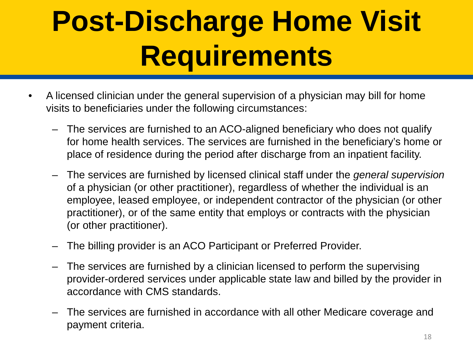## **Post-Discharge Home Visit Requirements**

- A licensed clinician under the general supervision of a physician may bill for home visits to beneficiaries under the following circumstances:
	- for home health services. The services are furnished in the beneficiary's home or – The services are furnished to an ACO-aligned beneficiary who does not qualify place of residence during the period after discharge from an inpatient facility.
	- of a physician (or other practitioner), regardless of whether the individual is an – The services are furnished by licensed clinical staff under the *general supervision*  employee, leased employee, or independent contractor of the physician (or other practitioner), or of the same entity that employs or contracts with the physician (or other practitioner).
	- The billing provider is an ACO Participant or Preferred Provider.
	- – The services are furnished by a clinician licensed to perform the supervising provider-ordered services under applicable state law and billed by the provider in accordance with CMS standards.
	- The services are furnished in accordance with all other Medicare coverage and payment criteria.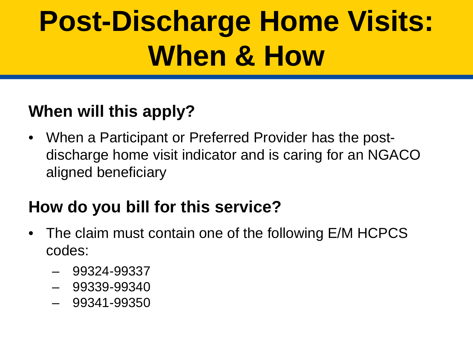## **Post-Discharge Home Visits: When & How**

#### **When will this apply?**

 discharge home visit indicator and is caring for an NGACO • When a Participant or Preferred Provider has the postaligned beneficiary

#### **How do you bill for this service?**

- The claim must contain one of the following E/M HCPCS codes:
	- – 99324-99337
	- – 99339-99340
	- – 99341-99350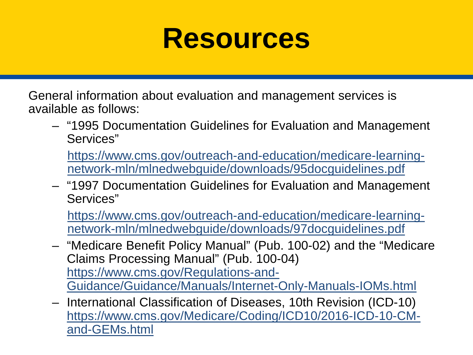#### **Resources**

 General information about evaluation and management services is available as follows:

- – "1995 Documentation Guidelines for Evaluation and Management Services"
	- https://www.cms.gov/outreach-and-education/medicare-learningnetwork-mln/mlnedwebguide/downloads/95docguidelines.pdf
- – "1997 Documentation Guidelines for Evaluation and Management Services"

https://www.cms.gov/outreach-and-education/medicare-learningnetwork-mln/mlnedwebguide/downloads/97docguidelines.pdf

- Claims Processing Manual" (Pub. 100-04) – "Medicare Benefit Policy Manual" (Pub. 100-02) and the "Medicare https://www.cms.gov/Regulations-and-Guidance/Guidance/Manuals/Internet-Only-Manuals-IOMs.html
- – International Classification of Diseases, 10th Revision (ICD-10) https://www.cms.gov/Medicare/Coding/ICD10/2016-ICD-10-CMand-GEMs.html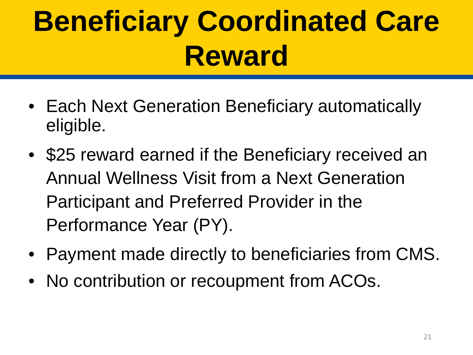## **Beneficiary Coordinated Care Reward**

- Each Next Generation Beneficiary automatically eligible.
- • \$25 reward earned if the Beneficiary received an Annual Wellness Visit from a Next Generation Participant and Preferred Provider in the Performance Year (PY).
- Payment made directly to beneficiaries from CMS.
- No contribution or recoupment from ACOs.